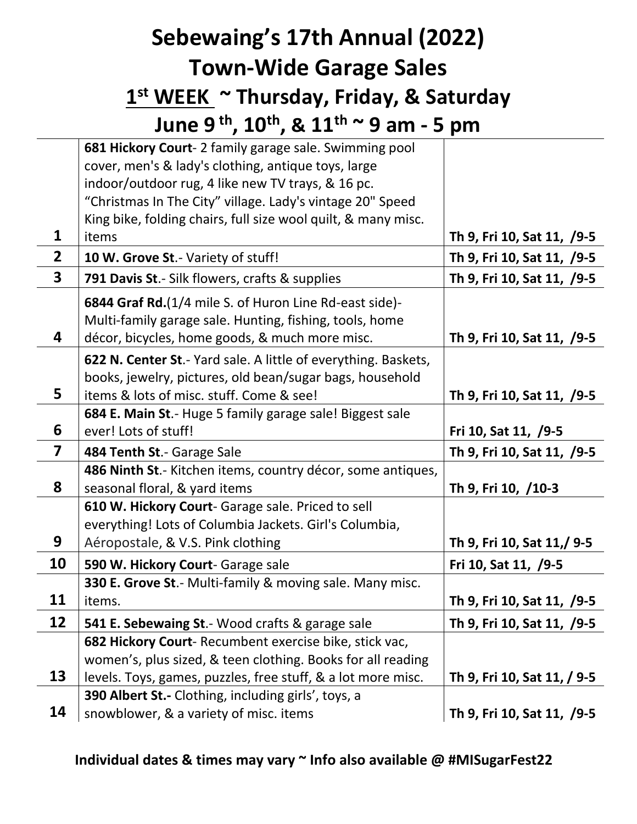## **Sebewaing's 17th Annual (2022) Town-Wide Garage Sales 1 st WEEK ~ Thursday, Friday, & Saturday June 9 th , 10th , & 11th ~ 9 am - 5 pm**

**1 681 Hickory Court**- 2 family garage sale. Swimming pool cover, men's & lady's clothing, antique toys, large indoor/outdoor rug, 4 like new TV trays, & 16 pc. "Christmas In The City" village. Lady's vintage 20" Speed King bike, folding chairs, full size wool quilt, & many misc. items **Th 9, Fri 10, Sat 11, /9-5 2 10 W. Grove St**.- Variety of stuff! **Th 9, Fri 10, Sat 11, /9-5 3 791 Davis St**.- Silk flowers, crafts & supplies **Th 9, Fri 10, Sat 11, /9-5 4 6844 Graf Rd.**(1/4 mile S. of Huron Line Rd-east side)- Multi-family garage sale. Hunting, fishing, tools, home décor, bicycles, home goods, & much more misc. **Th 9, Fri 10, Sat 11, /9-5 5 622 N. Center St**.- Yard sale. A little of everything. Baskets, books, jewelry, pictures, old bean/sugar bags, household items & lots of misc. stuff. Come & see! **Th 9, Fri 10, Sat 11, /9-5 6 684 E. Main St**.- Huge 5 family garage sale! Biggest sale ever! Lots of stuff! **Fri 10, Sat 11, /9-5 7 484 Tenth St**.- Garage Sale **Th 9, Fri 10, Sat 11, /9-5 8 486 Ninth St**.- Kitchen items, country décor, some antiques, seasonal floral, & yard items **Th 9, Fri 10, /10-3 9 610 W. Hickory Court**- Garage sale. Priced to sell everything! Lots of Columbia Jackets. Girl's Columbia, Aéropostale, & V.S. Pink clothing **Th 9, Fri 10, Sat 11,/ 9-5 10 | 590 W. Hickory Court**- Garage sale **Fri 10, Sat 11, /9-5 11 330 E. Grove St**.- Multi-family & moving sale. Many misc. items. **Th 9, Fri 10, Sat 11, /9-5 12 541 E. Sebewaing St**.- Wood crafts & garage sale **Th 9, Fri 10, Sat 11, /9-5 13 682 Hickory Court**- Recumbent exercise bike, stick vac, women's, plus sized, & teen clothing. Books for all reading levels. Toys, games, puzzles, free stuff, & a lot more misc. **Th 9, Fri 10, Sat 11, / 9-5 14 390 Albert St.-** Clothing, including girls', toys, a snowblower, & a variety of misc. items **Th 9, Fri 10, Sat 11, /9-5** 

## **Individual dates & times may vary ~ Info also available @ #MISugarFest22**